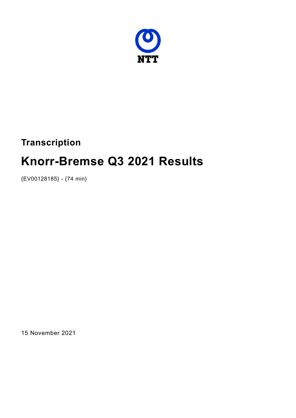

# **Transcription**

# **Knorr-Bremse Q3 2021 Results**

{EV00128185} - {74 min}

15 November 2021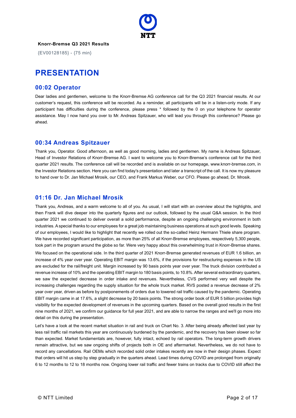

{EV00128185} - {75 min}

# **PRESENTATION**

#### **00:02 Operator**

Dear ladies and gentlemen, welcome to the Knorr-Bremse AG conference call for the Q3 2021 financial results. At our customer's request, this conference will be recorded. As a reminder, all participants will be in a listen-only mode. If any participant has difficulties during the conference, please press \* followed by the 0 on your telephone for operator assistance. May I now hand you over to Mr. Andreas Spitzauer, who will lead you through this conference? Please go ahead.

#### **00:34 Andreas Spitzauer**

Thank you, Operator. Good afternoon, as well as good morning, ladies and gentlemen. My name is Andreas Spitzauer, Head of Investor Relations of Knorr-Bremse AG. I want to welcome you to Knorr-Bremse's conference call for the third quarter 2021 results. The conference call will be recorded and is available on our homepage, www.knorr-bremse.com, in the Investor Relations section. Here you can find today's presentation and later a transcript of the call. It is now my pleasure to hand over to Dr. Jan Michael Mrosik, our CEO, and Frank Markus Weber, our CFO. Please go ahead, Dr. Mrosik.

#### **01:16 Dr. Jan Michael Mrosik**

Thank you, Andreas, and a warm welcome to all of you. As usual, I will start with an overview about the highlights, and then Frank will dive deeper into the quarterly figures and our outlook, followed by the usual Q&A session. In the third quarter 2021 we continued to deliver overall a solid performance, despite an ongoing challenging environment in both industries. A special thanks to our employees for a great job maintaining business operations at such good levels. Speaking of our employees, I would like to highlight that recently we rolled out the so-called Heinz Hermann Thiele share program. We have recorded significant participation, as more than 25% of all Knorr-Bremse employees, respectively 5,300 people, took part in the program around the globe so far. Were very happy about this overwhelming trust in Knorr-Bremse shares. We focused on the operational side. In the third quarter of 2021 Knorr-Bremse generated revenues of EUR 1.6 billion, an increase of 4% year over year. Operating EBIT margin was 13.6%, if the provisions for restructuring expenses in the US are excluded for the rail/freight unit. Margin increased by 90 basis points year over year. The truck division contributed a revenue increase of 10% and the operating EBIT margin to 180 basis points, to 10.8%. After several extraordinary quarters, we saw the expected decrease in order intake and revenues. Nevertheless, CVS performed very well despite the increasing challenges regarding the supply situation for the whole truck market. RVS posted a revenue decrease of 2% year over year, driven as before by postponements of orders due to lowered rail traffic caused by the pandemic. Operating EBIT margin came in at 17.6%, a slight decrease by 20 basis points. The strong order book of EUR 5 billion provides high visibility for the expected development of revenues in the upcoming quarters. Based on the overall good results in the first nine months of 2021, we confirm our guidance for full year 2021, and are able to narrow the ranges and we'll go more into detail on this during the presentation.

Let's have a look at the recent market situation in rail and truck on Chart No. 3. After being already affected last year by less rail traffic rail markets this year are continuously burdened by the pandemic, and the recovery has been slower so far than expected. Market fundamentals are, however, fully intact, echoed by rail operators. The long-term growth drivers remain attractive, but we saw ongoing shifts of projects both in OE and aftermarket. Nevertheless, we do not have to record any cancellations. Rail OEMs which recorded solid order intakes recently are now in their design phases. Expect that orders will hit us step by step gradually in the quarters ahead. Lead times during COVID are prolonged from originally 6 to 12 months to 12 to 18 months now. Ongoing lower rail traffic and fewer trains on tracks due to COVID still affect the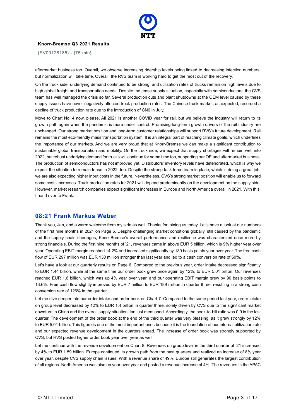

{EV00128185} - {75 min}

aftermarket business too. Overall, we observe increasing ridership levels being linked to decreasing infection numbers, but normalization will take time. Overall, the RVS team is working hard to get the most out of the recovery.

On the truck side, underlying demand continued to be strong, and utilization rates of trucks remain on high levels due to high global freight and transportation needs. Despite the tense supply situation, especially with semiconductors, the CVS team has well managed the crisis so far. Several production cuts and plant shutdowns at the OEM level caused by these supply issues have never negatively affected truck production rates. The Chinese truck market, as expected, recorded a decline of truck production rate due to the introduction of CN6 in July.

Move to Chart No. 4 now, please. All 2021 is another COVID year for rail, but we believe the industry will return to its growth path again when the pandemic is more under control. Promising long-term growth drivers of the rail industry are unchanged. Our strong market position and long-term customer relationships will support RVS's future development. Rail remains the most eco-friendly mass transportation system. It is an integral part of reaching climate goals, which underlines the importance of our markets. And we are very proud that at Knorr-Bremse we can make a significant contribution to sustainable global transportation and mobility. On the truck side, we expect that supply shortages will remain well into 2022, but robust underlying demand for trucks will continue for some time too, supporting our OE and aftermarket business. The production of semiconductors has not improved yet. Distributors' inventory levels have deteriorated, which is why we expect the situation to remain tense in 2022, too. Despite the strong task force team in place, which is doing a great job, we are also expecting higher input costs in the future. Nevertheless, CVS's strong market position will enable us to forward some costs increases. Truck production rates for 2021 will depend predominantly on the development on the supply side. However, market research companies expect significant increases in Europe and North America overall in 2021. With this, I hand over to Frank.

#### **08:21 Frank Markus Weber**

Thank you, Jan, and a warm welcome from my side as well. Thanks for joining us today. Let's have a look at our numbers of the first nine months in 2021 on Page 5. Despite challenging market conditions globally, still caused by the pandemic and the supply chain shortages, Knorr-Bremse's overall performance and resilience was characterized once more by strong financials. During the first nine months of '21, revenues came in above EUR 5 billion, which is 9% higher year over year. Operating EBIT margin reached 14.2% and increased significantly by 130 basis points year over year. The free cash flow of EUR 297 million was EUR 130 million stronger than last year and led to a cash conversion rate of 60%.

Let's have a look at our quarterly results on Page 6. Compared to the previous year, order intake decreased significantly to EUR 1.44 billion, while at the same time our order book grew once again by 12%, to EUR 5.01 billion. Our revenues reached EUR 1.6 billion, which was up 4% year over year, and our operating EBIT margin grew by 90 basis points to 13.6%. Free cash flow slightly improved by EUR 7 million to EUR 189 million in quarter three, resulting in a strong cash conversion rate of 126% in the quarter.

Let me dive deeper into our order intake and order book on Chart 7. Compared to the same period last year, order intake on group level decreased by 12% to EUR 1.4 billion in quarter three, solely driven by CVS due to the significant market downturn in China and the overall supply situation Jan just mentioned. Accordingly, the book-to-bill ratio was 0.9 in the last quarter. The development of the order book at the end of the third quarter was very pleasing, as it grew strongly by 12% to EUR 5.01 billion. This figure is one of the most important ones because it is the foundation of our internal utilization rate and our expected revenue development in the quarters ahead. The increase of order book was strongly supported by CVS, but RVS posted higher order book year over year as well.

Let me continue with the revenue development on Chart 8. Revenues on group level in the third quarter of '21 increased by 4% to EUR 1.59 billion. Europe continued its growth path from the past quarters and realized an increase of 8% year over year, despite CVS supply chain issues. With a revenue share of 49%, Europe still generates the largest contribution of all regions. North America was also up year over year and posted a revenue increase of 4%. The revenues in the APAC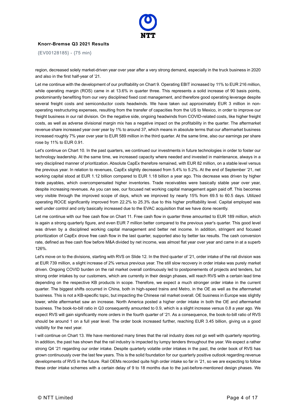

{EV00128185} - {75 min}

region, decreased solely market-driven year over year after a very strong demand, especially in the truck business in 2020 and also in the first half-year of '21.

Let me continue with the development of our profitability on Chart 9. Operating EBIT increased by 11% to EUR 216 million, while operating margin (ROS) came in at 13.6% in quarter three. This represents a solid increase of 90 basis points, predominantly benefiting from our very disciplined fixed cost management, and therefore good operating leverage despite several freight costs and semiconductor costs headwinds. We have taken out approximately EUR 3 million in nonoperating restructuring expenses, resulting from the transfer of capacities from the US to Mexico, in order to improve our freight business in our rail division. On the negative side, ongoing headwinds from COVID-related costs, like higher freight costs, as well as adverse divisional margin mix has a negative impact on the profitability in the quarter. The aftermarket revenue share increased year over year by 1% to around 37, which means in absolute terms that our aftermarket business increased roughly 7% year over year to EUR 589 million in the third quarter. At the same time, also our earnings per share rose by 11% to EUR 0.91.

Let's continue on Chart 10. In the past quarters, we continued our investments in future technologies in order to foster our technology leadership. At the same time, we increased capacity where needed and invested in maintenance, always in a very disciplined manner of prioritization. Absolute CapEx therefore remained, with EUR 82 million, on a stable level versus the previous year. In relation to revenues, CapEx slightly decreased from 5.4% to 5.2%. At the end of September '21, net working capital stood at EUR 1.12 billion compared to EUR 1.18 billion a year ago. This decrease was driven by higher trade payables, which overcompensated higher inventories. Trade receivables were basically stable year over year, despite increasing revenues. As you can see, our focused net working capital management again paid off. This becomes very visible through the improved scope of days, which we improved by nearly 15% from 69.5 to 60.5 days. Utilized operating ROCE significantly improved from 22.2% to 25.3% due to this higher profitability level. Capital employed was well under control and only basically increased due to the EVAC acquisition that we have done recently.

Let me continue with our free cash flow on Chart 11. Free cash flow in quarter three amounted to EUR 189 million, which is again a strong quarterly figure, and even EUR 7 million better compared to the previous year's quarter. This good level was driven by a disciplined working capital management and better net income. In addition, stringent and focused prioritization of CapEx drove free cash flow in the last quarter, supported also by better tax results. The cash conversion rate, defined as free cash flow before M&A divided by net income, was almost flat year over year and came in at a superb 126%.

Let's move on to the divisions, starting with RVS on Slide 12. In the third quarter of '21, order intake of the rail division was at EUR 739 million, a slight increase of 2% versus previous year. The still slow recovery in order intake was purely market driven. Ongoing COVID burden on the rail market overall continuously led to postponements of projects and tenders, but strong order intakes by our customers, which are currently in their design phases, will reach RVS with a certain lead time depending on the respective KB products in scope. Therefore, we expect a much stronger order intake in the current quarter. The biggest shifts occurred in China, both in high-speed trains and Metro, in the OE as well as the aftermarket business. This is not a KB-specific topic, but impacting the Chinese rail market overall. OE business in Europe was slightly lower, while aftermarket saw an increase. North America posted a higher order intake in both the OE and aftermarket business. The book-to-bill ratio in Q3 consequently amounted to 0.9, which is a slight increase versus 0.8 a year ago. We expect RVS will gain significantly more orders in the fourth quarter of '21. As a consequence, the book-to-bill ratio of RVS should be around 1 on a full year level. The order book increased further, reaching EUR 3.45 billion, giving us a good visibility for the next year.

I will continue on Chart 13. We have mentioned many times that the rail industry does not go well with quarterly reporting. In addition, the past has shown that the rail industry is impacted by lumpy tenders throughout the year. We expect a rather strong Q4 '21 regarding our order intake. Despite quarterly volatile order intakes in the past, the order book of RVS has grown continuously over the last few years. This is the solid foundation for our quarterly positive outlook regarding revenue developments of RVS in the future. Rail OEMs recorded quite high order intake so far in '21, so we are expecting to follow these order intake schemes with a certain delay of 9 to 18 months due to the just-before-mentioned design phases. We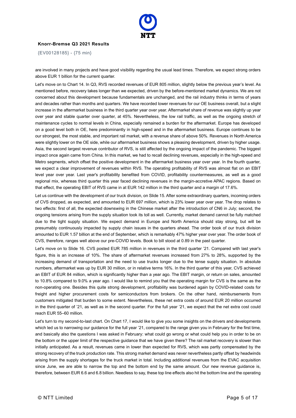

{EV00128185} - {75 min}

are involved in many projects and have good visibility regarding the usual lead times. Therefore, we expect strong orders above EUR 1 billion for the current quarter.

Let's move on to Chart 14. In Q3, RVS recorded revenues of EUR 805 million, slightly below the previous year's level. As mentioned before, recovery takes longer than we expected, driven by the before-mentioned market dynamics. We are not concerned about this development because fundamentals are unchanged, and the rail industry thinks in terms of years and decades rather than months and quarters. We have recorded lower revenues for our OE business overall, but a slight increase in the aftermarket business in the third quarter year over year. Aftermarket share of revenue was slightly up year over year and stable quarter over quarter, at 45%. Nevertheless, the low rail traffic, as well as the ongoing stretch of maintenance cycles to normal levels in China, especially remained a burden for the aftermarket. Europe has developed on a good level both in OE, here predominantly in high-speed and in the aftermarket business. Europe continues to be our strongest, the most stable, and important rail market, with a revenue share of above 50%. Revenues in North America were slightly lower on the OE side, while our aftermarket business shows a pleasing development, driven by higher usage. Asia, the second largest revenue contributor of RVS, is still affected by the ongoing impact of the pandemic. The biggest impact once again came from China. In this market, we had to recall declining revenues, especially in the high-speed and Metro segments, which offset the positive development in the aftermarket business year over year. In the fourth quarter, we expect a clear improvement of revenues within RVS. The operating profitability of RVS was almost flat on an EBIT level year over year. Last year's profitability benefited from COVID, profitability countermeasures, as well as a good regional mix, whereas third quarter this year faced declining revenues in the margin-accretive APAC regions. Based on that effect, the operating EBIT of RVS came in at EUR 142 million in the third quarter and a margin of 17.6%.

Let us continue with the development of our truck division, on Slide 15. After some extraordinary quarters, incoming orders of CVS dropped, as expected, and amounted to EUR 697 million, which is 23% lower year over year. The drop relates to two effects: first of all, the expected downswing in the Chinese market after the introduction of CN6 in July; second, the ongoing tensions arising from the supply situation took its toll as well. Currently, market demand cannot be fully matched due to the tight supply situation. We expect demand in Europe and North America should stay strong, but will be presumably continuously impacted by supply chain issues in the quarters ahead. The order book of our truck division amounted to EUR 1.57 billion at the end of September, which is remarkably 47% higher year over year. The order book of CVS, therefore, ranges well above our pre-COVID levels. Book to bill stood at 0.89 in the past quarter.

Let's move on to Slide 16. CVS posted EUR 785 million in revenues in the third quarter '21. Compared with last year's figure, this is an increase of 10%. The share of aftermarket revenues increased from 27% to 28%, supported by the increasing demand of transportation and the need to use trucks longer due to the tense supply situation. In absolute numbers, aftermarket was up by EUR 30 million, or in relative terms 16%. In the third quarter of this year, CVS achieved an EBIT of EUR 84 million, which is significantly higher than a year ago. The EBIT margin, or return on sales, amounted to 10.8% compared to 9.0% a year ago. I would like to remind you that the operating margin for CVS is the same as the non-operating one. Besides this quite strong development, profitability was burdened again by COVID-related costs for freight and higher procurement costs for semiconductors from brokers. On the other hand, reimbursements from customers mitigated that burden to some extent. Nevertheless, these net extra costs of around EUR 20 million occurred in the third quarter of '21, as well as in the second quarter. For the full year '21, we expect that the net extra cost could reach EUR 55–60 million.

Let's turn to my second-to-last chart. On Chart 17, I would like to give you some insights on the drivers and developments which led us to narrowing our guidance for the full year '21, compared to the range given you in February for the first time, and basically also the questions I was asked in February: what could go wrong or what could help you in order to be on the bottom or the upper limit of the respective guidance that we have given there? The rail market recovery is slower than initially anticipated. As a result, revenues came in lower than expected for RVS, which was partly compensated by the strong recovery of the truck production rate. This strong market demand was never nevertheless partly offset by headwinds arising from the supply shortages for the truck market in total. Including additional revenues from the EVAC acquisition since June, we are able to narrow the top and the bottom end by the same amount. Our new revenue guidance is, therefore, between EUR 6.6 and 6.8 billion. Needless to say, these top line effects also hit the bottom line and the operating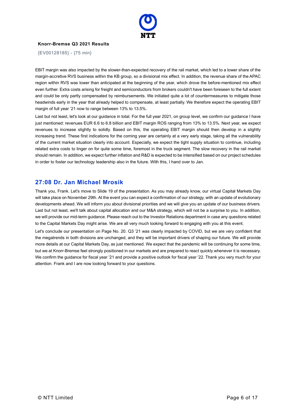

{EV00128185} - {75 min}

EBIT margin was also impacted by the slower-than-expected recovery of the rail market, which led to a lower share of the margin-accretive RVS business within the KB group, so a divisional mix effect. In addition, the revenue share of the APAC region within RVS was lower than anticipated at the beginning of the year, which drove the before-mentioned mix effect even further. Extra costs arising for freight and semiconductors from brokers couldn't have been foreseen to the full extent and could be only partly compensated by reimbursements. We initiated quite a lot of countermeasures to mitigate those headwinds early in the year that already helped to compensate, at least partially. We therefore expect the operating EBIT margin of full year '21 now to range between 13% to 13.5%.

Last but not least, let's look at our guidance in total. For the full year 2021, on group level, we confirm our guidance I have just mentioned: revenues EUR 6.6 to 6.8 billion and EBIT margin ROS ranging from 13% to 13.5%. Next year, we expect revenues to increase slightly to solidly. Based on this, the operating EBIT margin should then develop in a slightly increasing trend. These first indications for the coming year are certainly at a very early stage, taking all the vulnerability of the current market situation clearly into account. Especially, we expect the tight supply situation to continue, including related extra costs to linger on for quite some time, foremost in the truck segment. The slow recovery in the rail market should remain. In addition, we expect further inflation and R&D is expected to be intensified based on our project schedules in order to foster our technology leadership also in the future. With this, I hand over to Jan.

# **27:08 Dr. Jan Michael Mrosik**

Thank you, Frank. Let's move to Slide 19 of the presentation. As you may already know, our virtual Capital Markets Day will take place on November 29th. At the event you can expect a confirmation of our strategy, with an update of evolutionary developments ahead. We will inform you about divisional priorities and we will give you an update of our business drivers. Last but not least, we'll talk about capital allocation and our M&A strategy, which will not be a surprise to you. In addition, we will provide our mid-term guidance. Please reach out to the Investor Relations department in case any questions related to the Capital Markets Day might arise. We are all very much looking forward to engaging with you at this event.

Let's conclude our presentation on Page No. 20. Q3 '21 was clearly impacted by COVID, but we are very confident that the megatrends in both divisions are unchanged, and they will be important drivers of shaping our future. We will provide more details at our Capital Markets Day, as just mentioned. We expect that the pandemic will be continuing for some time, but we at Knorr-Bremse feel strongly positioned in our markets and are prepared to react quickly whenever it is necessary. We confirm the guidance for fiscal year '21 and provide a positive outlook for fiscal year '22. Thank you very much for your attention. Frank and I are now looking forward to your questions.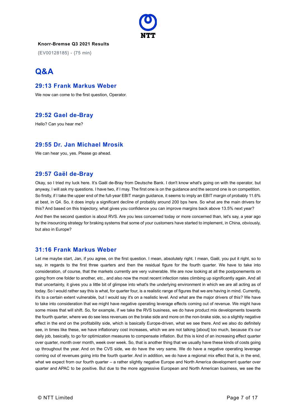

{EV00128185} - {75 min}

# **Q&A**

## **29:13 Frank Markus Weber**

We now can come to the first question, Operator.

# **29:52 Gael de-Bray**

Hello? Can you hear me?

#### **29:55 Dr. Jan Michael Mrosik**

We can hear you, yes. Please go ahead.

## **29:57 Gaël de-Bray**

Okay, so I tried my luck here. It's Gaël de-Bray from Deutsche Bank. I don't know what's going on with the operator, but anyway, I will ask my questions. I have two, if I may. The first one is on the guidance and the second one is on competition. So firstly, if I take the upper end of the full-year EBIT margin guidance, it seems to imply an EBIT margin of probably 11.6% at best, in Q4. So, it does imply a significant decline of probably around 200 bps here. So what are the main drivers for this? And based on this trajectory, what gives you confidence you can improve margins back above 13.5% next year?

And then the second question is about RVS. Are you less concerned today or more concerned than, let's say, a year ago by the insourcing strategy for braking systems that some of your customers have started to implement, in China, obviously, but also in Europe?

#### **31:16 Frank Markus Weber**

Let me maybe start, Jan, if you agree, on the first question. I mean, absolutely right. I mean, Gaël, you put it right, so to say, in regards to the first three quarters and then the residual figure for the fourth quarter. We have to take into consideration, of course, that the markets currently are very vulnerable. We are now looking at all the postponements on going from one folder to another, etc., and also now the most recent infection rates climbing up significantly again. And all that uncertainty, it gives you a little bit of glimpse into what's the underlying environment in which we are all acting as of today. So I would rather say this is what, for quarter four, is a realistic range of figures that we are having in mind. Currently, it's to a certain extent vulnerable, but I would say it's on a realistic level. And what are the major drivers of this? We have to take into consideration that we might have negative operating leverage effects coming out of revenue. We might have some mixes that will shift. So, for example, if we take the RVS business, we do have product mix developments towards the fourth quarter, where we do see less revenues on the brake side and more on the non-brake side, so a slightly negative effect in the end on the profitability side, which is basically Europe-driven, what we see there. And we also do definitely see, in times like these, we have inflationary cost increases, which we are not talking [about] too much, because it's our daily job, basically, to go for optimization measures to compensate inflation. But this is kind of an increasing effect quarter over quarter, month over month, week over week. So, that is another thing that we usually have these kinds of costs going up throughout the year. And on the CVS side, we do have the very same. We do have a negative operating leverage coming out of revenues going into the fourth quarter. And in addition, we do have a regional mix effect that is, in the end, what we expect from our fourth quarter – a rather slightly negative Europe and North America development quarter over quarter and APAC to be positive. But due to the more aggressive European and North American business, we see the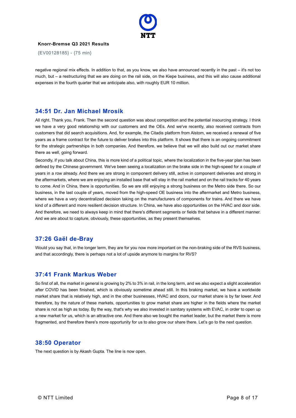

{EV00128185} - {75 min}

negative regional mix effects. In addition to that, as you know, we also have announced recently in the past – it's not too much, but – a restructuring that we are doing on the rail side, on the Kiepe business, and this will also cause additional expenses in the fourth quarter that we anticipate also, with roughly EUR 10 million.

#### **34:51 Dr. Jan Michael Mrosik**

All right. Thank you, Frank. Then the second question was about competition and the potential insourcing strategy. I think we have a very good relationship with our customers and the OEs. And we've recently, also received contracts from customers that did search acquisitions. And, for example, the Citadis platform from Alstom, we received a renewal of five years as a frame contract for the future to deliver brakes into this platform. It shows that there is an ongoing commitment for the strategic partnerships in both companies. And therefore, we believe that we will also build out our market share there as well, going forward.

Secondly, if you talk about China, this is more kind of a political topic, where the localization in the five-year plan has been defined by the Chinese government. We've been seeing a localization on the brake side in the high-speed for a couple of years in a row already. And there we are strong in component delivery still, active in component deliveries and strong in the aftermarkets, where we are enjoying an installed base that will stay in the rail market and on the rail tracks for 40 years to come. And in China, there is opportunities. So we are still enjoying a strong business on the Metro side there. So our business, in the last couple of years, moved from the high-speed OE business into the aftermarket and Metro business, where we have a very decentralized decision taking on the manufacturers of components for trains. And there we have kind of a different and more resilient decision structure. In China, we have also opportunities on the HVAC and door side. And therefore, we need to always keep in mind that there's different segments or fields that behave in a different manner. And we are about to capture, obviously, these opportunities, as they present themselves.

#### **37:26 Gaël de-Bray**

Would you say that, in the longer term, they are for you now more important on the non-braking side of the RVS business, and that accordingly, there is perhaps not a lot of upside anymore to margins for RVS?

#### **37:41 Frank Markus Weber**

So first of all, the market in general is growing by 2% to 3% in rail, in the long term, and we also expect a slight acceleration after COVID has been finished, which is obviously sometime ahead still. In this braking market, we have a worldwide market share that is relatively high, and in the other businesses, HVAC and doors, our market share is by far lower. And therefore, by the nature of these markets, opportunities to grow market share are higher in the fields where the market share is not as high as today. By the way, that's why we also invested in sanitary systems with EVAC, in order to open up a new market for us, which is an attractive one. And there also we bought the market leader, but the market there is more fragmented, and therefore there's more opportunity for us to also grow our share there. Let's go to the next question.

#### **38:50 Operator**

The next question is by Akash Gupta. The line is now open.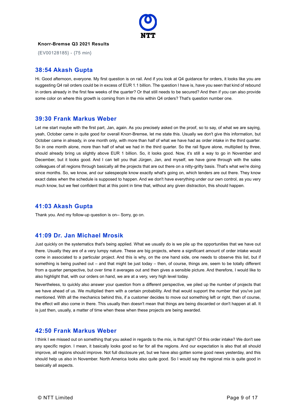

{EV00128185} - {75 min}

#### **38:54 Akash Gupta**

Hi. Good afternoon, everyone. My first question is on rail. And if you look at Q4 guidance for orders, it looks like you are suggesting Q4 rail orders could be in excess of EUR 1.1 billion. The question I have is, have you seen that kind of rebound in orders already in the first few weeks of the quarter? Or that still needs to be secured? And then if you can also provide some color on where this growth is coming from in the mix within Q4 orders? That's question number one.

#### **39:30 Frank Markus Weber**

Let me start maybe with the first part, Jan, again. As you precisely asked on the proof, so to say, of what we are saying, yeah, October came in quite good for overall Knorr-Bremse, let me state this. Usually we don't give this information, but October came in already, in one month only, with more than half of what we have had as order intake in the third quarter. So in one month alone, more than half of what we had in the third quarter. So the rail figure alone, multiplied by three, should already bring us slightly above EUR 1 billion. So, it looks good. Now, it's still a way to go in November and December, but it looks good. And I can tell you that Jürgen, Jan, and myself, we have gone through with the sales colleagues of all regions through basically all the projects that are out there on a nitty-gritty basis. That's what we're doing since months. So, we know, and our salespeople know exactly what's going on, which tenders are out there. They know exact dates when the schedule is supposed to happen. And we don't have everything under our own control, as you very much know, but we feel confident that at this point in time that, without any given distraction, this should happen.

#### **41:03 Akash Gupta**

Thank you. And my follow-up question is on-- Sorry, go on.

#### **41:09 Dr. Jan Michael Mrosik**

Just quickly on the systematics that's being applied. What we usually do is we pile up the opportunities that we have out there. Usually they are of a very lumpy nature. These are big projects, where a significant amount of order intake would come in associated to a particular project. And this is why, on the one hand side, one needs to observe this list, but if something is being pushed out – and that might be just today – then, of course, things are, seem to be totally different from a quarter perspective, but over time it averages out and then gives a sensible picture. And therefore, I would like to also highlight that, with our orders on hand, we are at a very, very high level today.

Nevertheless, to quickly also answer your question from a different perspective, we piled up the number of projects that we have ahead of us. We multiplied them with a certain probability. And that would support the number that you've just mentioned. With all the mechanics behind this, if a customer decides to move out something left or right, then of course, the effect will also come in there. This usually then doesn't mean that things are being discarded or don't happen at all. It is just then, usually, a matter of time when these when these projects are being awarded.

#### **42:50 Frank Markus Weber**

I think I we missed out on something that you asked in regards to the mix, is that right? Of this order intake? We don't see any specific region. I mean, it basically looks good so far for all the regions. And our expectation is also that all should improve, all regions should improve. Not full disclosure yet, but we have also gotten some good news yesterday, and this should help us also in November. North America looks also quite good. So I would say the regional mix is quite good in basically all aspects.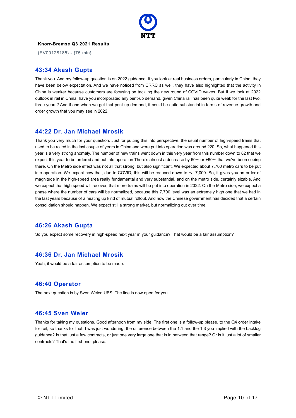

{EV00128185} - {75 min}

#### **43:34 Akash Gupta**

Thank you. And my follow-up question is on 2022 guidance. If you look at real business orders, particularly in China, they have been below expectation. And we have noticed from CRRC as well, they have also highlighted that the activity in China is weaker because customers are focusing on tackling the new round of COVID waves. But if we look at 2022 outlook in rail in China, have you incorporated any pent-up demand, given China rail has been quite weak for the last two, three years? And if and when we get that pent-up demand, it could be quite substantial in terms of revenue growth and order growth that you may see in 2022.

## **44:22 Dr. Jan Michael Mrosik**

Thank you very much for your question. Just for putting this into perspective, the usual number of high-speed trains that used to be rolled in the last couple of years in China and were put into operation was around 220. So, what happened this year is a very strong anomaly. The number of new trains went down in this very year from this number down to 82 that we expect this year to be ordered and put into operation There's almost a decrease by 60% or +60% that we've been seeing there. On the Metro side effect was not all that strong, but also significant. We expected about 7,700 metro cars to be put into operation. We expect now that, due to COVID, this will be reduced down to +/- 7,000. So, it gives you an order of magnitude in the high-speed area really fundamental and very substantial, and on the metro side, certainly sizable. And we expect that high speed will recover, that more trains will be put into operation in 2022. On the Metro side, we expect a phase where the number of cars will be normalized, because this 7,700 level was an extremely high one that we had in the last years because of a heating up kind of mutual rollout. And now the Chinese government has decided that a certain consolidation should happen. We expect still a strong market, but normalizing out over time.

# **46:26 Akash Gupta**

So you expect some recovery in high-speed next year in your guidance? That would be a fair assumption?

# **46:36 Dr. Jan Michael Mrosik**

Yeah, it would be a fair assumption to be made.

#### **46:40 Operator**

The next question is by Sven Weier, UBS. The line is now open for you.

#### **46:45 Sven Weier**

Thanks for taking my questions. Good afternoon from my side. The first one is a follow-up please, to the Q4 order intake for rail, so thanks for that. I was just wondering, the difference between the 1.1 and the 1.3 you implied with the backlog guidance? Is that just a few contracts, or just one very large one that is in between that range? Or is it just a lot of smaller contracts? That's the first one, please.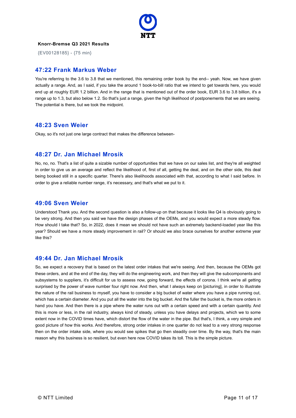

{EV00128185} - {75 min}

## **47:22 Frank Markus Weber**

You're referring to the 3.6 to 3.8 that we mentioned, this remaining order book by the end-- yeah. Now, we have given actually a range. And, as I said, if you take the around 1 book-to-bill ratio that we intend to get towards here, you would end up at roughly EUR 1.2 billion. And in the range that is mentioned out of the order book, EUR 3.6 to 3.8 billion, it's a range up to 1.3, but also below 1.2. So that's just a range, given the high likelihood of postponements that we are seeing. The potential is there, but we took the midpoint.

## **48:23 Sven Weier**

Okay, so it's not just one large contract that makes the difference between-

## **48:27 Dr. Jan Michael Mrosik**

No, no, no. That's a list of quite a sizable number of opportunities that we have on our sales list, and they're all weighted in order to give us an average and reflect the likelihood of, first of all, getting the deal, and on the other side, this deal being booked still in a specific quarter. There's also likelihoods associated with that, according to what I said before. In order to give a reliable number range, it's necessary, and that's what we put to it.

#### **49:06 Sven Weier**

Understood Thank you. And the second question is also a follow-up on that because it looks like Q4 is obviously going to be very strong. And then you said we have the design phases of the OEMs, and you would expect a more steady flow. How should I take that? So, in 2022, does it mean we should not have such an extremely backend-loaded year like this year? Should we have a more steady improvement in rail? Or should we also brace ourselves for another extreme year like this?

#### **49:44 Dr. Jan Michael Mrosik**

So, we expect a recovery that is based on the latest order intakes that we're seeing. And then, because the OEMs got these orders, and at the end of the day, they will do the engineering work, and then they will give the subcomponents and subsystems to suppliers, it's difficult for us to assess now, going forward, the effects of corona. I think we're all getting surprised by the power of wave number four right now. And then, what I always keep on [picturing], in order to illustrate the nature of the rail business to myself, you have to consider a big bucket of water where you have a pipe running out, which has a certain diameter. And you put all the water into the big bucket. And the fuller the bucket is, the more orders in hand you have. And then there is a pipe where the water runs out with a certain speed and with a certain quantity. And this is more or less, in the rail industry, always kind of steady, unless you have delays and projects, which we to some extent now in the COVID times have, which distort the flow of the water in the pipe. But that's, I think, a very simple and good picture of how this works. And therefore, strong order intakes in one quarter do not lead to a very strong response then on the order intake side, where you would see spikes that go then steadily over time. By the way, that's the main reason why this business is so resilient, but even here now COVID takes its toll. This is the simple picture.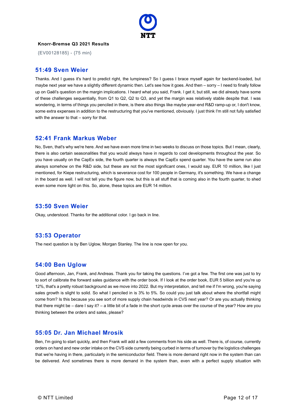

{EV00128185} - {75 min}

#### **51:49 Sven Weier**

Thanks. And I guess it's hard to predict right, the lumpiness? So I guess I brace myself again for backend-loaded, but maybe next year we have a slightly different dynamic then. Let's see how it goes. And then – sorry – I need to finally follow up on Gaël's question on the margin implications. I heard what you said, Frank. I get it, but still, we did already have some of these challenges sequentially, from Q1 to Q2, Q2 to Q3, and yet the margin was relatively stable despite that. I was wondering, in terms of things you penciled in there, is there also things like maybe year-end R&D ramp-up or, I don't know, some extra expenses in addition to the restructuring that you've mentioned, obviously. I just think I'm still not fully satisfied with the answer to that – sorry for that.

#### **52:41 Frank Markus Weber**

No, Sven, that's why we're here. And we have even more time in two weeks to discuss on those topics. But I mean, clearly, there is also certain seasonalities that you would always have in regards to cost developments throughout the year. So you have usually on the CapEx side, the fourth quarter is always the CapEx spend quarter. You have the same run also always somehow on the R&D side, but these are not the most significant ones, I would say. EUR 10 million, like I just mentioned, for Kiepe restructuring, which is severance cost for 100 people in Germany, it's something. We have a change in the board as well. I will not tell you the figure now, but this is all stuff that is coming also in the fourth quarter, to shed even some more light on this. So, alone, these topics are EUR 14 million.

#### **53:50 Sven Weier**

Okay, understood. Thanks for the additional color. I go back in line.

#### **53:53 Operator**

The next question is by Ben Uglow, Morgan Stanley. The line is now open for you.

# **54:00 Ben Uglow**

Good afternoon, Jan, Frank, and Andreas. Thank you for taking the questions. I've got a few. The first one was just to try to sort of calibrate the forward sales guidance with the order book. If I look at the order book, EUR 5 billion and you're up 12%, that's a pretty robust background as we move into 2022. But my interpretation, and tell me if I'm wrong, you're saying sales growth is slight to solid. So what I penciled in is 3% to 5%. So could you just talk about where the shortfall might come from? Is this because you see sort of more supply chain headwinds in CVS next year? Or are you actually thinking that there might be – dare I say it? – a little bit of a fade in the short cycle areas over the course of the year? How are you thinking between the orders and sales, please?

#### **55:05 Dr. Jan Michael Mrosik**

Ben, I'm going to start quickly, and then Frank will add a few comments from his side as well. There is, of course, currently orders on hand and new order intake on the CVS side currently being curbed in terms of turnover by the logistics challenges that we're having in there, particularly in the semiconductor field. There is more demand right now in the system than can be delivered. And sometimes there is more demand in the system than, even with a perfect supply situation with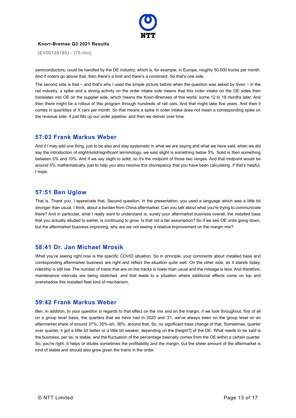

{EV00128185} - {75 min}

semiconductors, could be handled by the OE industry, which is, for example, in Europe, roughly 50,000 trucks per month. And if orders go above that, then there's a limit and there's a constraint. So that's one side.

The second side is that – and that's why I used the simple picture before when the question was asked by Sven – in the rail industry, a spike and a strong activity on the order intake side means that this order intake on the OE sides then translates into OE on the supplier side, which means the Knorr-Bremses of this world, some 12 to 18 months later. And then there might be a rollout of this program through hundreds of rail cars. And that might take five years. And then it comes in quantities of X cars per month. So that means a spike in order intake does not mean a corresponding spike on the revenue side. It just fills up our order pipeline, and then we deliver over time.

#### **57:03 Frank Markus Weber**

And if I may add one thing, just to be also and stay systematic in what we are saying and what we have said, when we did say the introduction of slight/solid/significant terminology, we said slight is something below 5%. Solid is then something between 5% and 10%. And if we say slight to solid, so it's the midpoint of those two ranges. And that midpoint would be around 5% mathematically, just to help you also resolve this discrepancy that you have been calculating, if that's helpful, I hope.

## **57:51 Ben Uglow**

That is. Thank you. I appreciate that. Second question. In the presentation, you used a language which was a little bit stronger than usual, I think, about a burden from China aftermarket. Can you talk about what you're trying to communicate there? And in particular, what I really want to understand is, surely your aftermarket business overall, the installed base that you actually alluded to earlier, is continuing to grow. Is that not a fair assumption? So if we see OE units going down, but the aftermarket business improving, why are we not seeing a relative improvement on the margin mix?

#### **58:41 Dr. Jan Michael Mrosik**

What you're seeing right now is the specific COVID situation. So in principle, your comments about installed base and corresponding aftermarket business are right and reflect the situation quite well. On the other side, as it stands today, ridership is still low. The number of trains that are on the tracks is lower than usual and the mileage is less. And therefore, maintenance intervals are being stretched, and that leads to a situation where additional effects come on top and overshadow this installed fleet kind of mechanism.

#### **59:42 Frank Markus Weber**

Ben, in addition, to your question in regards to that effect on the mix and on the margin, if we look throughout, first of all on a group level basis, the quarters that we have had in 2020 and '21, we've always been on the group level on an aftermarket share of around 37%, 35%-ish, 36%, around that. So, no significant base change of that. Sometimes, quarter over quarter, it got a little bit better or a little bit weaker, depending on the [height?] of the OE. What needs to be said is the business, per se, is stable, and the fluctuation of the percentage basically comes from the OE within a certain quarter. So, you're right. It helps or dilutes sometimes the profitability and the margin, but the sheer amount of the aftermarket is kind of stable and should also grow given the trains in the order.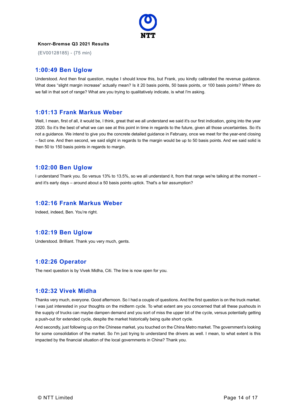

{EV00128185} - {75 min}

## **1:00:49 Ben Uglow**

Understood. And then final question, maybe I should know this, but Frank, you kindly calibrated the revenue guidance. What does "slight margin increase" actually mean? Is it 20 basis points, 50 basis points, or 100 basis points? Where do we fall in that sort of range? What are you trying to qualitatively indicate, is what I'm asking.

#### **1:01:13 Frank Markus Weber**

Well, I mean, first of all, it would be, I think, great that we all understand we said it's our first indication, going into the year 2020. So it's the best of what we can see at this point in time in regards to the future, given all those uncertainties. So it's not a guidance. We intend to give you the concrete detailed guidance in February, once we meet for the year-end closing – fact one. And then second, we said slight in regards to the margin would be up to 50 basis points. And we said solid is then 50 to 150 basis points in regards to margin.

## **1:02:00 Ben Uglow**

I understand Thank you. So versus 13% to 13.5%, so we all understand it, from that range we're talking at the moment – and it's early days – around about a 50 basis points uptick. That's a fair assumption?

#### **1:02:16 Frank Markus Weber**

Indeed, indeed, Ben. You're right.

# **1:02:19 Ben Uglow**

Understood. Brilliant. Thank you very much, gents.

# **1:02:26 Operator**

The next question is by Vivek Midha, Citi. The line is now open for you.

#### **1:02:32 Vivek Midha**

Thanks very much, everyone. Good afternoon. So I had a couple of questions. And the first question is on the truck market. I was just interested in your thoughts on the midterm cycle. To what extent are you concerned that all these pushouts in the supply of trucks can maybe dampen demand and you sort of miss the upper bit of the cycle, versus potentially getting a push-out for extended cycle, despite the market historically being quite short cycle.

And secondly, just following up on the Chinese market, you touched on the China Metro market. The government's looking for some consolidation of the market. So I'm just trying to understand the drivers as well. I mean, to what extent is this impacted by the financial situation of the local governments in China? Thank you.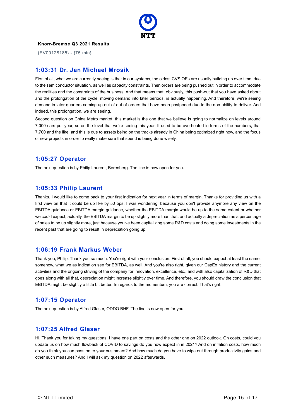

{EV00128185} - {75 min}

## **1:03:31 Dr. Jan Michael Mrosik**

First of all, what we are currently seeing is that in our systems, the oldest CVS OEs are usually building up over time, due to the semiconductor situation, as well as capacity constraints. Then orders are being pushed out in order to accommodate the realities and the constraints of the business. And that means that, obviously, this push-out that you have asked about and the prolongation of the cycle, moving demand into later periods, is actually happening. And therefore, we're seeing demand in later quarters coming up out of out of orders that have been postponed due to the non-ability to deliver. And indeed, this prolongation, we are seeing.

Second question on China Metro market, this market is the one that we believe is going to normalize on levels around 7,000 cars per year, so on the level that we're seeing this year. It used to be overheated in terms of the numbers, that 7,700 and the like, and this is due to assets being on the tracks already in China being optimized right now, and the focus of new projects in order to really make sure that spend is being done wisely.

#### **1:05:27 Operator**

The next question is by Philip Laurent, Berenberg. The line is now open for you.

## **1:05:33 Philip Laurent**

Thanks. I would like to come back to your first indication for next year in terms of margin. Thanks for providing us with a first view on that it could be up like by 50 bps. I was wondering, because you don't provide anymore any view on the EBITDA guidance or EBITDA margin guidance, whether the EBITDA margin would be up to the same extent or whether we could expect, actually, the EBITDA margin to be up slightly more than that, and actually a depreciation as a percentage of sales to be up slightly more, just because you've been capitalizing some R&D costs and doing some investments in the recent past that are going to result in depreciation going up.

#### **1:06:19 Frank Markus Weber**

Thank you, Philip. Thank you so much. You're right with your conclusion. First of all, you should expect at least the same, somehow, what we as indication see for EBITDA, as well. And you're also right, given our CapEx history and the current activities and the ongoing striving of the company for innovation, excellence, etc., and with also capitalization of R&D that goes along with all that, depreciation might increase slightly over time. And therefore, you should draw the conclusion that EBITDA might be slightly a little bit better. In regards to the momentum, you are correct. That's right.

# **1:07:15 Operator**

The next question is by Alfred Glaser, ODDO BHF. The line is now open for you.

#### **1:07:25 Alfred Glaser**

Hi. Thank you for taking my questions. I have one part on costs and the other one on 2022 outlook. On costs, could you update us on how much flowback of COVID to savings do you now expect in in 2021? And on inflation costs, how much do you think you can pass on to your customers? And how much do you have to wipe out through productivity gains and other such measures? And I will ask my question on 2022 afterwards.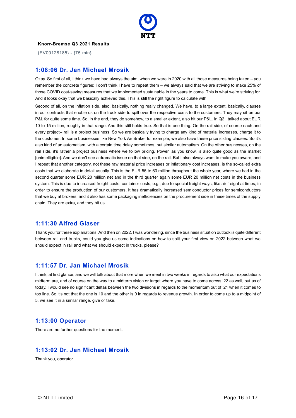

{EV00128185} - {75 min}

#### **1:08:06 Dr. Jan Michael Mrosik**

Okay. So first of all, I think we have had always the aim, when we were in 2020 with all those measures being taken – you remember the concrete figures; I don't think I have to repeat them – we always said that we are striving to make 25% of those COVID cost-saving measures that we implemented sustainable in the years to come. This is what we're striving for. And it looks okay that we basically achieved this. This is still the right figure to calculate with.

Second of all, on the inflation side, also, basically, nothing really changed. We have, to a large extent, basically, clauses in our contracts that enable us on the truck side to spill over the respective costs to the customers. They may sit on our P&L for quite some time. So, in the end, they do somehow, to a smaller extent, also hit our P&L. In Q2 I talked about EUR 10 to 15 million, roughly in that range. And this still holds true. So that is one thing. On the rail side, of course each and every project-- rail is a project business. So we are basically trying to charge any kind of material increases, charge it to the customer. In some businesses like New York Air Brake, for example, we also have these price sliding clauses. So it's also kind of an automatism, with a certain time delay sometimes, but similar automatism. On the other businesses, on the rail side, it's rather a project business where we follow pricing. Power, as you know, is also quite good as the market [unintelligible]. And we don't see a dramatic issue on that side, on the rail. But I also always want to make you aware, and I repeat that another category, not these raw material price increases or inflationary cost increases, is the so-called extra costs that we elaborate in detail usually. This is the EUR 55 to 60 million throughout the whole year, where we had in the second quarter some EUR 20 million net and in the third quarter again some EUR 20 million net costs in the business system. This is due to increased freight costs, container costs, e.g., due to special freight ways, like air freight at times, in order to ensure the production of our customers. It has dramatically increased semiconductor prices for semiconductors that we buy at brokers, and it also has some packaging inefficiencies on the procurement side in these times of the supply chain. They are extra, and they hit us.

#### **1:11:30 Alfred Glaser**

Thank you for these explanations. And then on 2022, I was wondering, since the business situation outlook is quite different between rail and trucks, could you give us some indications on how to split your first view on 2022 between what we should expect in rail and what we should expect in trucks, please?

# **1:11:57 Dr. Jan Michael Mrosik**

I think, at first glance, and we will talk about that more when we meet in two weeks in regards to also what our expectations midterm are, and of course on the way to a midterm vision or target where you have to come across '22 as well, but as of today, I would see no significant deltas between the two divisions in regards to the momentum out of '21 when it comes to top line. So it's not that the one is 10 and the other is 0 in regards to revenue growth. In order to come up to a midpoint of 5, we see it in a similar range, give or take.

#### **1:13:00 Operator**

There are no further questions for the moment.

# **1:13:02 Dr. Jan Michael Mrosik**

Thank you, operator.